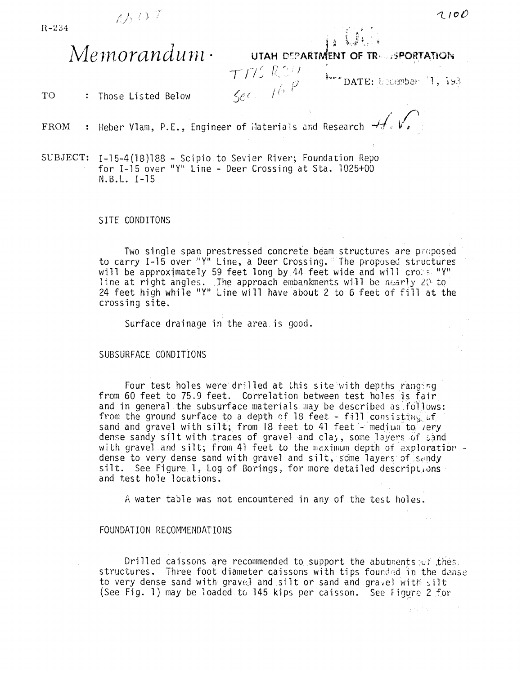

 $\mathbf{j}$  is a section of UTAH DEPARTMENT OF TR<sub>5</sub>, (SPORTATION)

 $\mathbf{T}\mathbf{O}$  : Those Listed Below  $\mathcal{L}_{\mathcal{C}}\mathcal{L}_{\mathcal{C}}$  / $\mathcal{L}_{\mathcal{C}}$ 

 $T/75R20$  $\frac{1}{2}$  . DATE: LEGENDER  $^{+1}$ , 193

FROM  $\sqrt{2}$ Heber Vlam, P.E., Engineer of Materials and Research  $\mathcal{H}\cdot\mathsf{V}$ ,

SUBJECT: I-15-4(18)188 - Scipio to Sevier River; Foundation Repo for  $I-15$  over "Y" Line - Deer Crossing at Sta. 1025+00 N.B.L. 1-15

SITE CONDITONS

Two single span prestressed concrete beam structures are proposed to carry 1-15 over "Y" Line, a Deer Crossing. The proposed structures will be approximately 59 feet long by 44 feet wide and will cross "Y" line at right angles. The approach embankments will be nearly 20 to 24 feet high while "yn Line will have about 2 to 6 feet of fill at the crossing site.

Surface drainage in the area is good.

SUBSURFACE CONDITIONS

Four test holes were drilled at this site with depths ranging from 60 feet to 75.9 feet. Correlation between test holes is fair and in general the subsurface materials may be described as follows: from the ground surface to a depth of 18 feet - fill consisting of sand and gravel with silt; from 18 feet to 41 feet - medium to lery dense sandy silt with traces of gravel and cla,, some layers of sand<br>with gravel and silt; from 41 feet to the maximum depth of exploration dense to very dense sand with gravel and silt, some layers of sandy silt. See Figure 1, Log of Borings, for more detailed descriptions and test hole locations.

A water table was not encountered in any of the test holes.

## FOUNDATION RECOMMENDATIONS

Drilled caissons are recommended to support the abutments  $\varphi f$ , thes, structures. Three foot diameter caissons with tips founded in the dense to very dense sand with gravel and silt or sand and gravel with silt (See Fig. 1) may be loaded to 145 kips per caisson. See Figure 2 for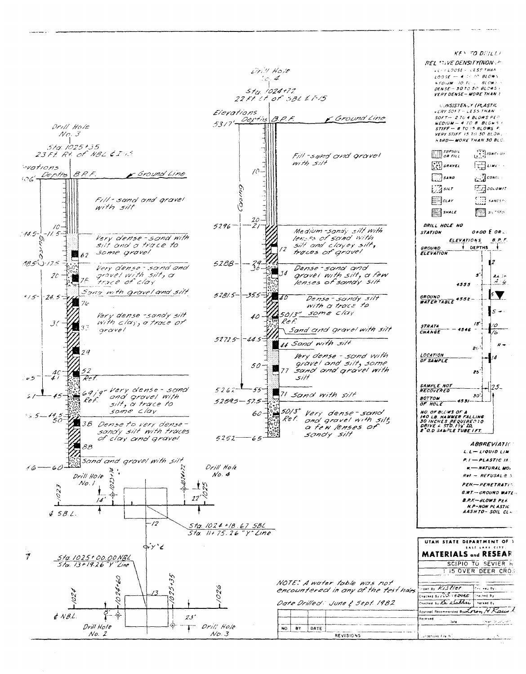